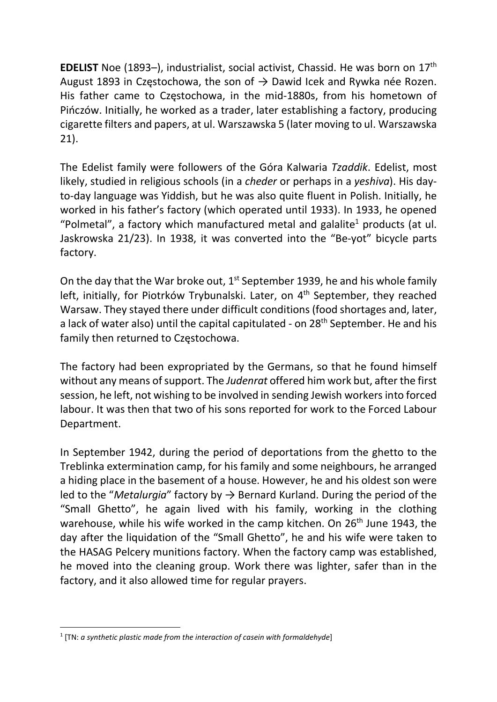**EDELIST** Noe (1893–), industrialist, social activist, Chassid. He was born on  $17<sup>th</sup>$ August 1893 in Częstochowa, the son of  $\rightarrow$  Dawid Icek and Rywka née Rozen. His father came to Częstochowa, in the mid-1880s, from his hometown of Pińczów. Initially, he worked as a trader, later establishing a factory, producing cigarette filters and papers, at ul. Warszawska 5 (later moving to ul. Warszawska 21).

The Edelist family were followers of the Góra Kalwaria Tzaddik. Edelist, most likely, studied in religious schools (in a *cheder* or perhaps in a *yeshiva*). His dayto-day language was Yiddish, but he was also quite fluent in Polish. Initially, he worked in his father's factory (which operated until 1933). In 1933, he opened "Polmetal", a factory which manufactured metal and galalite<sup>1</sup> products (at ul. Jaskrowska 21/23). In 1938, it was converted into the "Be-yot" bicycle parts factory.

On the day that the War broke out,  $1<sup>st</sup>$  September 1939, he and his whole family left, initially, for Piotrków Trybunalski. Later, on 4<sup>th</sup> September, they reached Warsaw. They stayed there under difficult conditions (food shortages and, later, a lack of water also) until the capital capitulated - on 28<sup>th</sup> September. He and his family then returned to Częstochowa.

The factory had been expropriated by the Germans, so that he found himself without any means of support. The *Judenrat* offered him work but, after the first session, he left, not wishing to be involved in sending Jewish workers into forced labour. It was then that two of his sons reported for work to the Forced Labour Department.

In September 1942, during the period of deportations from the ghetto to the Treblinka extermination camp, for his family and some neighbours, he arranged a hiding place in the basement of a house. However, he and his oldest son were led to the "Metalurgia" factory by  $\rightarrow$  Bernard Kurland. During the period of the "Small Ghetto", he again lived with his family, working in the clothing warehouse, while his wife worked in the camp kitchen. On 26<sup>th</sup> June 1943, the day after the liquidation of the "Small Ghetto", he and his wife were taken to the HASAG Pelcery munitions factory. When the factory camp was established, he moved into the cleaning group. Work there was lighter, safer than in the factory, and it also allowed time for regular prayers.

 $1$  [TN: a synthetic plastic made from the interaction of casein with formaldehyde]